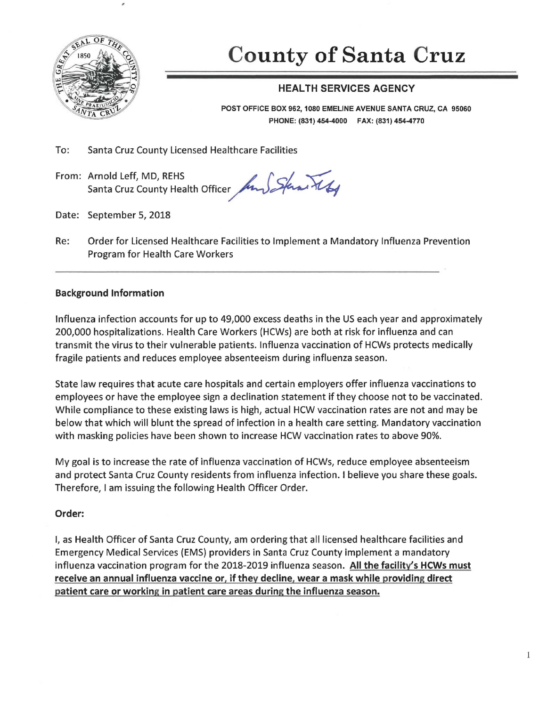

# **County of Santa Cruz**

# HEALTH SERVICES AGENCY

POST OFFICE BOX 962, 1080 EMELINE AVENUE SANTA CRUZ, CA 95060 PHONE: (831) 454-4000 FAX: (831) 454-4770

To: Santa Cruz County Licensed Healthcare Facilities

From: Arnold Leff, MD, REHS<br>Santa Cruz County Health Officer *for Sfan XI* 

- Date: September 5, 2018
- Re: Order for Licensed Healthcare Facilities to Implement a Mandatory Influenza Prevention Program for Health Care Workers

## Background Information

Influenza infection accounts for up to 49,000 excess deaths in the US each year and approximately 200,000 hospitalizations. Health Care Workers (HCWs) are both at risk for influenza and can transmit the virus to their vulnerable patients. Influenza vaccination of HCWs protects medically fragile patients and reduces employee absenteeism during influenza season.

State law requires that acute care hospitals and certain employers offer influenza vaccinations to employees or have the employee sign a declination statement if they choose not to be vaccinated. While compliance to these existing laws is high, actual HCW vaccination rates are not and may be below that which will blunt the spread of infection in a health care setting. Mandatory vaccination with masking policies have been shown to increase HCW vaccination rates to above 90%.

My goal is to increase the rate of influenza vaccination of HCWs, reduce employee absenteeism and protect Santa Cruz County residents from influenza infection. I believe you share these goals. Therefore, I am issuing the following Health Officer Order.

### Order:

I, as Health Officer of Santa Cruz County, am ordering that all licensed healthcare facilities and Emergency Medical Services (EMS) providers in Santa Cruz County implement a mandatory influenza vaccination program for the 2018-2019 influenza season. All the facility's HCWs must receive an annual influenza vaccine or, if thev decline, wear a mask while providing direct patient care or working in patient care areas during the influenza season.